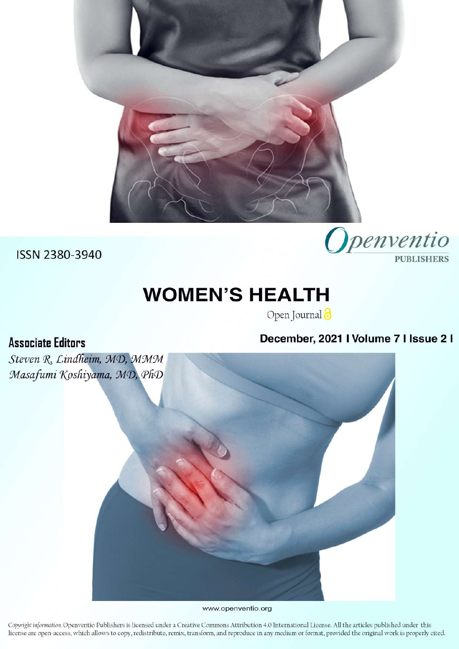

**Associate Editors** 

# **WOMEN'S HEALTH**

Open Journal<sup>3</sup>

# December, 2021 I Volume 7 I Issue 2 I

Openventio

**PUBLISHERS** 

Steven R. Lindheim, MD, MMM Masafumi Koshiyama, MD, PhD

www.openventio.org

Copyright information. Openventio Publishers is licensed under a Creative Commons Attribution 4.0 International License. All the articles published under this license are open-access, which allows to copy, redistribute, remix, transform, and reproduce in any medium or format, provided the original work is properly cited.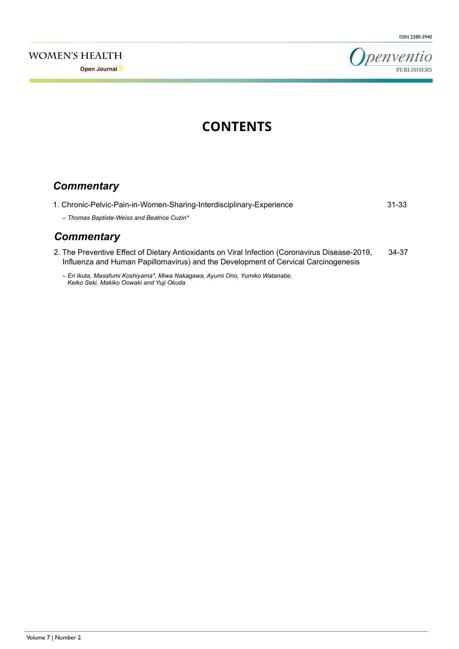**Open Journal**



# **CONTENTS**

# *Commentary*

| 1. Chronic-Pelvic-Pain-in-Women-Sharing-Interdisciplinary-Experience                                                                                                                 | $31 - 33$ |
|--------------------------------------------------------------------------------------------------------------------------------------------------------------------------------------|-----------|
| - Thomas Baptiste-Weiss and Beatrice Cuzin*                                                                                                                                          |           |
| <b>Commentary</b>                                                                                                                                                                    |           |
| 2. The Preventive Effect of Dietary Antioxidants on Viral Infection (Coronavirus Disease-2019,<br>Influenza and Human Papillomavirus) and the Development of Cervical Carcinogenesis | 34-37     |
| - Eri Ikuta, Masafumi Koshiyama*, Miwa Nakagawa, Ayumi Ono, Yumiko Watanabe,<br>Keiko Seki, Makiko Oowaki and Yuji Okuda                                                             |           |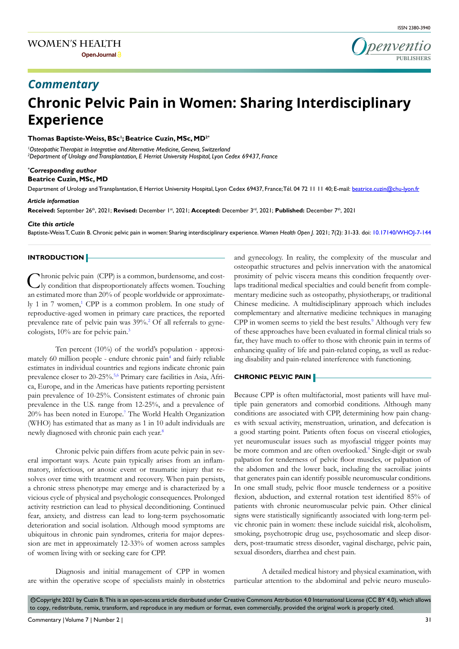

# **Chronic Pelvic Pain in Women: Sharing Interdisciplinary Experience** *Commentary*

#### **Thomas Baptiste-Weiss, BSc1 ; Beatrice Cuzin, MSc, MD2\***

*1 Osteopathic Therapist in Integrative and Alternative Medicine, Geneva, Switzerland 2 Department of Urology and Transplantation, E Herriot University Hospital, Lyon Cedex 69437, France*

#### *\* Corresponding author*

**Beatrice Cuzin, MSc, MD**

Department of Urology and Transplantation, E Herriot University Hospital, Lyon Cedex 69437, France; Tél. 04 72 11 11 40; E-mail: beatrice.cuzin@chu-lyon.fr

#### *Article information*

**Received:** September 26th, 2021; **Revised:** December 1st, 2021; **Accepted:** December 3rd, 2021; **Published:** December 7th, 2021

#### *Cite this article*

Baptiste-Weiss T, Cuzin B. Chronic pelvic pain in women: Sharing interdisciplinary experience. *Women Health Open J*. 2021; 7(2): 31-33. doi: [10.17140/WHOJ-7-144](http://dx.doi.org/10.17140/WHOJ-7-144)

### **INTRODUCTION**

Chronic pelvic pain (CPP) is a common, burdensome, and costly condition that disproportionately affects women. Touching an estimated more than 20% of people worldwide or approximate-ly [1](#page-3-0) in 7 women,<sup>1</sup> CPP is a common problem. In one study of reproductive-aged women in primary care practices, the reported prevalence rate of pelvic pain was 39%.<sup>2</sup> Of all referrals to gynecologists, 10% are for pelvic pain.<sup>3</sup>

Ten percent (10%) of the world's population - approximately 60 million people - endure chronic pain<sup>4</sup> and fairly reliable estimates in individual countries and regions indicate chronic pain prevalence closer to 20-25%.<sup>5,6</sup> Primary care facilities in Asia, Africa, Europe, and in the Americas have patients reporting persistent pain prevalence of 10-25%. Consistent estimates of chronic pain prevalence in the U.S. range from 12-25%, and a prevalence of 20% has been noted in Europe.[7](#page-4-4) The World Health Organization (WHO) has estimated that as many as 1 in 10 adult individuals are newly diagnosed with chronic pain each year.[8](#page-4-5)

Chronic pelvic pain differs from acute pelvic pain in several important ways. Acute pain typically arises from an inflammatory, infectious, or anoxic event or traumatic injury that resolves over time with treatment and recovery. When pain persists, a chronic stress phenotype may emerge and is characterized by a vicious cycle of physical and psychologic consequences. Prolonged activity restriction can lead to physical deconditioning. Continued fear, anxiety, and distress can lead to long-term psychosomatic deterioration and social isolation. Although mood symptoms are ubiquitous in chronic pain syndromes, criteria for major depression are met in approximately 12-33% of women across samples of women living with or seeking care for CPP.

Diagnosis and initial management of CPP in women are within the operative scope of specialists mainly in obstetrics and gynecology. In reality, the complexity of the muscular and osteopathic structures and pelvis innervation with the anatomical proximity of pelvic viscera means this condition frequently overlaps traditional medical specialties and could benefit from complementary medicine such as osteopathy, physiotherapy, or traditional Chinese medicine. A multidisciplinary approach which includes complementary and alternative medicine techniques in managing CPP in women seems to yield the best results.<sup>[9](#page-4-6)</sup> Although very few of these approaches have been evaluated in formal clinical trials so far, they have much to offer to those with chronic pain in terms of enhancing quality of life and pain-related coping, as well as reducing disability and pain-related interference with functioning.

### **CHRONIC PELVIC PAIN**

Because CPP is often multifactorial, most patients will have multiple pain generators and comorbid conditions. Although many conditions are associated with CPP, determining how pain changes with sexual activity, menstruation, urination, and defecation is a good starting point. Patients often focus on visceral etiologies, yet neuromuscular issues such as myofascial trigger points may be more common and are often overlooked.<sup>9</sup> Single-digit or swab palpation for tenderness of pelvic floor muscles, or palpation of the abdomen and the lower back, including the sacroiliac joints that generates pain can identify possible neuromuscular conditions. In one small study, pelvic floor muscle tenderness or a positive flexion, abduction, and external rotation test identified 85% of patients with chronic neuromuscular pelvic pain. Other clinical signs were statistically significantly associated with long-term pelvic chronic pain in women: these include suicidal risk, alcoholism, smoking, psychotropic drug use, psychosomatic and sleep disorders, post-traumatic stress disorder, vaginal discharge, pelvic pain, sexual disorders, diarrhea and chest pain.

A detailed medical history and physical examination, with particular attention to the abdominal and pelvic neuro musculo-

@Copyright 2021 by Cuzin B. This is an open-access article distributed under Creative Commons Attribution 4.0 International License (CC BY 4.0), which allows to copy, redistribute, remix, transform, and reproduce in any medium or format, even commercially, provided the original work is properly cited.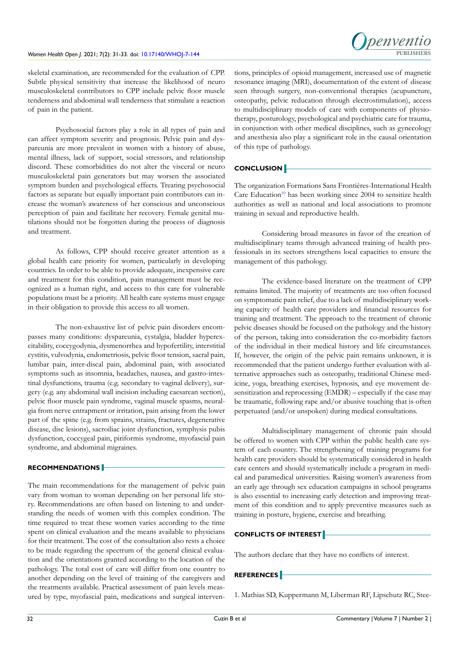

skeletal examination, are recommended for the evaluation of CPP. Subtle physical sensitivity that increase the likelihood of neuro musculoskeletal contributors to CPP include pelvic floor muscle tenderness and abdominal wall tenderness that stimulate a reaction of pain in the patient.

Psychosocial factors play a role in all types of pain and can affect symptom severity and prognosis. Pelvic pain and dyspareunia are more prevalent in women with a history of abuse, mental illness, lack of support, social stressors, and relationship discord. These comorbidities do not alter the visceral or neuro musculoskeletal pain generators but may worsen the associated symptom burden and psychological effects. Treating psychosocial factors as separate but equally important pain contributors can increase the woman's awareness of her conscious and unconscious perception of pain and facilitate her recovery. Female genital mutilations should not be forgotten during the process of diagnosis and treatment.

As follows, CPP should receive greater attention as a global health care priority for women, particularly in developing countries. In order to be able to provide adequate, inexpensive care and treatment for this condition, pain management must be recognized as a human right, and access to this care for vulnerable populations must be a priority. All health care systems must engage in their obligation to provide this access to all women.

The non-exhaustive list of pelvic pain disorders encompasses many conditions: dyspareunia, cystalgia, bladder hyperexcitability, coccygodynia, dysmenorrhea and hypofertility, interstitial cystitis, vulvodynia, endometriosis, pelvic floor tension, sacral pain, lumbar pain, inter-discal pain, abdominal pain, with associated symptoms such as insomnia, headaches, nausea, and gastro-intestinal dysfunctions, trauma (e.g. secondary to vaginal delivery), surgery (e.g. any abdominal wall incision including caesarean section), pelvic floor muscle pain syndrome, vaginal muscle spasms, neuralgia from nerve entrapment or irritation, pain arising from the lower part of the spine (e.g. from sprains, strains, fractures, degenerative disease, disc lesions), sacroiliac joint dysfunction, symphysis pubis dysfunction, coccygeal pain, piriformis syndrome, myofascial pain syndrome, and abdominal migraines.

#### **RECOMMENDATIONS**

The main recommendations for the management of pelvic pain vary from woman to woman depending on her personal life story. Recommendations are often based on listening to and understanding the needs of women with this complex condition. The time required to treat these women varies according to the time spent on clinical evaluation and the means available to physicians for their treatment. The cost of the consultation also rests a choice to be made regarding the spectrum of the general clinical evaluation and the orientations granted according to the location of the pathology. The total cost of care will differ from one country to another depending on the level of training of the caregivers and the treatments available. Practical assessment of pain levels measured by type, myofascial pain, medications and surgical interventions, principles of opioid management, increased use of magnetic resonance imaging (MRI), documentation of the extent of disease seen through surgery, non-conventional therapies (acupuncture, osteopathy, pelvic reducation through electrostimulation), access to multidisciplinary models of care with components of physiotherapy, posturology, psychological and psychiatric care for trauma, in conjunction with other medical disciplines, such as gynecology and anesthesia also play a significant role in the causal orientation of this type of pathology.

# **CONCLUSION**

The organization Formations Sans Frontières-International Health Care Education<sup>[10](#page-4-7)</sup> has been working since  $2004$  to sensitize health authorities as well as national and local associations to promote training in sexual and reproductive health.

Considering broad measures in favor of the creation of multidisciplinary teams through advanced training of health professionals in its sectors strengthens local capacities to ensure the management of this pathology.

The evidence-based literature on the treatment of CPP remains limited. The majority of treatments are too often focused on symptomatic pain relief, due to a lack of multidisciplinary working capacity of health care providers and financial resources for training and treatment. The approach to the treatment of chronic pelvic diseases should be focused on the pathology and the history of the person, taking into consideration the co-morbidity factors of the individual in their medical history and life circumstances. If, however, the origin of the pelvic pain remains unknown, it is recommended that the patient undergo further evaluation with alternative approaches such as osteopathy, traditional Chinese medicine, yoga, breathing exercises, hypnosis, and eye movement desensitization and reprocessing (EMDR) – especially if the case may be traumatic, following rape and/or abusive touching that is often perpetuated (and/or unspoken) during medical consultations.

Multidisciplinary management of chronic pain should be offered to women with CPP within the public health care system of each country. The strengthening of training programs for health care providers should be systematically considered in health care centers and should systematically include a program in medical and paramedical universities. Raising women's awareness from an early age through sex education campaigns in school programs is also essential to increasing early detection and improving treatment of this condition and to apply preventive measures such as training in posture, hygiene, exercise and breathing.

### **CONFLICTS OF INTEREST**

The authors declare that they have no conflicts of interest.

## **REFERENCES**

<span id="page-3-0"></span>1. Mathias SD, Kuppermann M, Liberman RF, Lipschutz RC, Stee-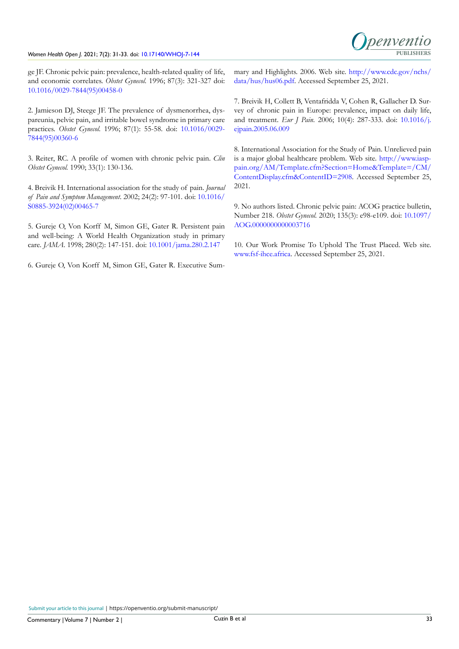# Women Health Open J. 2021; 7(2): 31-33. doi: [10.17140/WHOJ-7-144](http://dx.doi.org/10.17140/WHOJ-7-144) **PUBLISHERS**



ge JF. Chronic pelvic pain: prevalence, health-related quality of life, and economic correlates. *Obstet Gynecol*. 1996; 87(3): 321-327 doi: [10.1016/0029-7844\(95\)00458-0](http://doi.org/10.1016/0029-7844(95)00458-0)

<span id="page-4-0"></span>2. Jamieson DJ, Steege JF. The prevalence of dysmenorrhea, dyspareunia, pelvic pain, and irritable bowel syndrome in primary care practices. *Obstet Gynecol*. 1996; 87(1): 55-58. doi: [10.1016/0029-](http://doi.org/10.1016/0029-7844(95)00360-6) [7844\(95\)00360-6](http://doi.org/10.1016/0029-7844(95)00360-6)

<span id="page-4-1"></span>3. Reiter, RC. A profile of women with chronic pelvic pain. *Clin Obstet Gynecol.* 1990; 33(1): 130-136.

<span id="page-4-2"></span>4. Breivik H. International association for the study of pain. *Journal of Pain and Symptom Management*. 2002; 24(2): 97-101. doi: [10.1016/](http://doi.org/10.1016/S0885-3924(02)00465-7) [S0885-3924\(02\)00465-7](http://doi.org/10.1016/S0885-3924(02)00465-7)

<span id="page-4-3"></span>5. Gureje O, Von Korff M, Simon GE, Gater R. Persistent pain and well-being: A World Health Organization study in primary care. *JAMA*. 1998; 280(2): 147-151. doi: [10.1001/jama.280.2.147](http://doi.org/10.1001/jama.280.2.147)

6. Gureje O, Von Korff M, Simon GE, Gater R. Executive Sum-

mary and Highlights. 2006. Web site. [http://www.cdc.gov/nchs/](http://www.cdc.gov/nchs/data/hus/hus06.pdf) [data/hus/hus06.pdf.](http://www.cdc.gov/nchs/data/hus/hus06.pdf) Accessed September 25, 2021.

<span id="page-4-4"></span>7. Breivik H, Collett B, Ventafridda V, Cohen R, Gallacher D. Survey of chronic pain in Europe: prevalence, impact on daily life, and treatment. *Eur J Pain*. 2006; 10(4): 287-333. doi: [10.1016/j.](http://doi.org/10.1016/j.ejpain.2005.06.009) [ejpain.2005.06.009](http://doi.org/10.1016/j.ejpain.2005.06.009)

<span id="page-4-5"></span>8. International Association for the Study of Pain. Unrelieved pain is a major global healthcare problem. Web site. [http://www.iasp](http://www.iasp- pain.org/AM/Template.cfm?Section=Home&Template=/CM/ContentDisplay.cfm&ContentID=290)[pain.org/AM/Template.cfm?Section=Home&Template=/CM/](http://www.iasp- pain.org/AM/Template.cfm?Section=Home&Template=/CM/ContentDisplay.cfm&ContentID=290) [ContentDisplay.cfm&ContentID=2908.](http://www.iasp- pain.org/AM/Template.cfm?Section=Home&Template=/CM/ContentDisplay.cfm&ContentID=290) Accessed September 25, 2021.

<span id="page-4-6"></span>9. No authors listed. Chronic pelvic pain: ACOG practice bulletin, Number 218. *Obstet Gynecol*. 2020; 135(3): e98-e109. doi: [10.1097/](http://doi.org/10.1097/AOG.0000000000003716) [AOG.0000000000003716](http://doi.org/10.1097/AOG.0000000000003716)

<span id="page-4-7"></span>10. Our Work Promise To Uphold The Trust Placed. Web site. [www.fsf-ihce.africa.](http://www.fsf-ihce.africa) Accessed September 25, 2021.

Submit your article to this journal | https://openventio.org/submit-manuscript/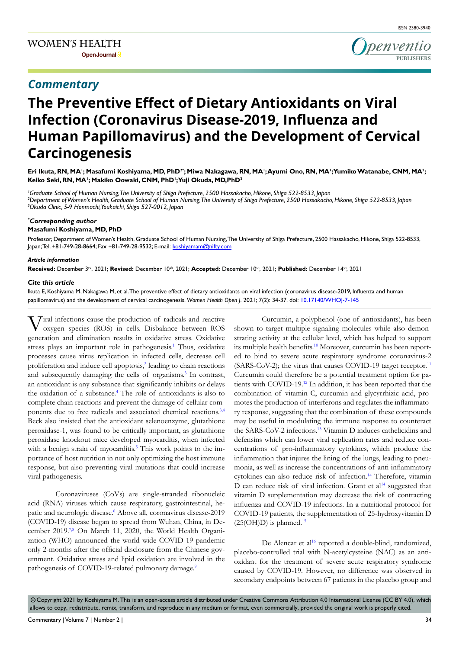# *Commentary*



# **The Preventive Effect of Dietary Antioxidants on Viral Infection (Coronavirus Disease-2019, Influenza and Human Papillomavirus) and the Development of Cervical Carcinogenesis**

Eri Ikuta, RN, MA'; Masafumi Koshiyama, MD, PhD<sup>2</sup>°; Miwa Nakagawa, RN, MA';Ayumi Ono, RN, MA';Yumiko Watanabe, CNM, MA<sup>2</sup>; **Keiko Seki, RN, MA1 ; Makiko Oowaki, CNM, PhD1 ; Yuji Okuda, MD,PhD3**

*1 Graduate School of Human Nursing, The University of Shiga Prefecture, 2500 Hassakacho, Hikone, Shiga 522-8533, Japan 2 Department of Women's Health, Graduate School of Human Nursing, The University of Shiga Prefecture, 2500 Hassakacho, Hikone, Shiga 522-8533, Japan 3 Okuda Clinic, 5-9 Honmachi, Youkaichi, Shiga 527-0012, Japan*

#### *\* Corresponding author*

#### **Masafumi Koshiyama, MD, PhD**

Professor, Department of Women's Health, Graduate School of Human Nursing, The University of Shiga Prefecture, 2500 Hassakacho, Hikone, Shiga 522-8533, Japan; Tel. +81-749-28-8664; Fax +81-749-28-9532; E-mail: koshiyamam@nifty.com

#### *Article information*

**Received:** December 3rd, 2021; **Revised:** December 10th, 2021; **Accepted:** December 10th, 2021; **Published:** December 14th, 2021

#### *Cite this article*

Ikuta E, Koshiyama M, Nakagawa M, et al. The preventive effect of dietary antioxidants on viral infection (coronavirus disease-2019, Influenza and human papillomavirus) and the development of cervical carcinogenesis. *Women Health Open J*. 2021; 7(2): 34-37. doi: [10.17140/WHOJ-7-145](http://dx.doi.org/10.17140/WHOJ-7-145)

Viral infections cause the production of radicals and reactive oxygen species (ROS) in cells. Disbalance between ROS generation and elimination results in oxidative stress. Oxidative stress plays an important role in pathogenesis.<sup>1</sup> Thus, oxidative processes cause virus replication in infected cells, decrease cell proliferation and induce cell apoptosis,<sup>2</sup> leading to chain reactions and subsequently damaging the cells of organisms.<sup>3</sup> In contrast, an antioxidant is any substance that significantly inhibits or delays the oxidation of a substance.<sup>[4](#page-6-3)</sup> The role of antioxidants is also to complete chain reactions and prevent the damage of cellular components due to free radicals and associated chemical reactions[.3,4](#page-6-2)  Beck also insisted that the antioxidant selenoenzyme, glutathione peroxidase-1, was found to be critically important, as glutathione peroxidase knockout mice developed myocarditis, when infected with a benign strain of myocarditis.<sup>5</sup> This work points to the importance of host nutrition in not only optimizing the host immune response, but also preventing viral mutations that could increase viral pathogenesis.

Coronaviruses (CoVs) are single-stranded ribonucleic acid (RNA) viruses which cause respiratory, gastrointestinal, he-patic and neurologic disease.<sup>[6](#page-6-5)</sup> Above all, coronavirus disease-2019 (COVID-19) disease began to spread from Wuhan, China, in De-cember 2019.<sup>[7,8](#page-6-6)</sup> On March 11, 2020, the World Health Organization (WHO) announced the world wide COVID-19 pandemic only 2-months after the official disclosure from the Chinese government. Oxidative stress and lipid oxidation are involved in the pathogenesis of COVID-19-related pulmonary damage.<sup>9</sup>

Curcumin, a polyphenol (one of antioxidants), has been shown to target multiple signaling molecules while also demonstrating activity at the cellular level, which has helped to support its multiple health benefits.<sup>10</sup> Moreover, curcumin has been reported to bind to severe acute respiratory syndrome coronavirus-2 (SARS-CoV-2); the virus that causes COVID-19 target receptor.<sup>11</sup> Curcumin could therefore be a potential treatment option for patients with COVID-19[.12](#page-7-0) In addition, it has been reported that the combination of vitamin C, curcumin and glycyrrhizic acid, promotes the production of interferons and regulates the inflammatory response, suggesting that the combination of these compounds may be useful in modulating the immune response to counteract the SARS-CoV-2 infections.[13](#page-7-1) Vitamin D induces cathelicidins and defensins which can lower viral replication rates and reduce concentrations of pro-inflammatory cytokines, which produce the inflammation that injures the lining of the lungs, leading to pneumonia, as well as increase the concentrations of anti-inflammatory cytokines can also reduce risk of infection.[14](#page-7-2) Therefore, vitamin D can reduce risk of viral infection. Grant et al<sup>14</sup> suggested that vitamin D supplementation may decrease the risk of contracting influenza and COVID-19 infections. In a nutritional protocol for COVID-19 patients, the supplementation of 25-hydroxyvitamin D  $(25(OH)D)$  is planned.<sup>[15](#page-7-3)</sup>

De Alencar et al<sup>16</sup> reported a double-blind, randomized, placebo-controlled trial with N-acetylcysteine (NAC) as an antioxidant for the treatment of severe acute respiratory syndrome caused by COVID-19. However, no difference was observed in secondary endpoints between 67 patients in the placebo group and

© Copyright 2021 by Koshiyama M. This is an open-access article distributed under Creative Commons Attribution 4.0 International License (CC BY 4.0), which allows to copy, redistribute, remix, transform, and reproduce in any medium or format, even commercially, provided the original work is properly cited.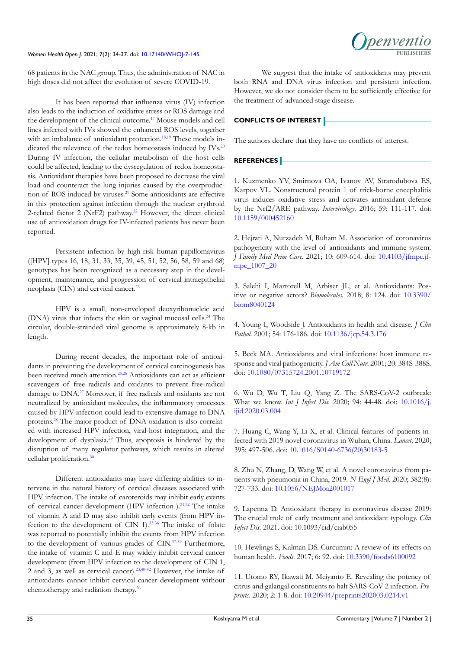

68 patients in the NAC group. Thus, the administration of NAC in high doses did not affect the evolution of severe COVID-19.

It has been reported that influenza virus (IV) infection also leads to the induction of oxidative stress or ROS damage and the development of the clinical outcome.<sup>17</sup> Mouse models and cell lines infected with IVs showed the enhanced ROS levels, together with an imbalance of antioxidant protection.<sup>18,19</sup> These models indicated the relevance of the redox homeostasis induced by IVs.<sup>20</sup> During IV infection, the cellular metabolism of the host cells could be affected, leading to the dysregulation of redox homeostasis. Antioxidant therapies have been proposed to decrease the viral load and counteract the lung injuries caused by the overproduction of ROS induced by viruses.<sup>21</sup> Some antioxidants are effective in this protection against infection through the nuclear erythroid 2-related factor 2 (NrF2) pathway.<sup>[22](#page-7-9)</sup> However, the direct clinical use of antioxidation drugs for IV-infected patients has never been reported.

Persistent infection by high-risk human papillomavirus ([HPV] types 16, 18, 31, 33, 35, 39, 45, 51, 52, 56, 58, 59 and 68) genotypes has been recognized as a necessary step in the development, maintenance, and progression of cervical intraepithelial neoplasia (CIN) and cervical cancer.<sup>[23](#page-7-10)</sup>

HPV is a small, non-enveloped deoxyribonucleic acid (DNA) virus that infects the skin or vaginal mucosal cells[.24](#page-7-11) The circular, double-stranded viral genome is approximately 8-kb in length.

During recent decades, the important role of antioxidants in preventing the development of cervical carcinogenesis has been received much attention.[25,26](#page-7-12) Antioxidants can act as efficient scavengers of free radicals and oxidants to prevent free-radical damage to DNA[.27](#page-7-13) Moreover, if free radicals and oxidants are not neutralized by antioxidant molecules, the inflammatory processes caused by HPV infection could lead to extensive damage to DNA proteins[.28](#page-7-14) The major product of DNA oxidation is also correlated with increased HPV infection, viral-host integration, and the development of dysplasia.<sup>[29](#page-7-15)</sup> Thus, apoptosis is hindered by the disruption of many regulator pathways, which results in altered cellular proliferation.<sup>[30](#page-7-16)</sup>

Different antioxidants may have differing abilities to intervene in the natural history of cervical diseases associated with HPV infection. The intake of caroteroids may inhibit early events of cervical cancer development (HPV infection ).<sup>31,32</sup> The intake of vitamin A and D may also inhibit early events (from HPV infection to the development of CIN 1)[.33-36](#page-7-18) The intake of folate was reported to potentially inhibit the events from HPV infection to the development of various grades of CIN.<sup>37-39</sup> Furthermore, the intake of vitamin C and E may widely inhibit cervical cancer development (from HPV infection to the development of CIN 1, 2 and 3, as well as cervical cancer)[.23,](#page-7-10)[40-42](#page-8-1) However, the intake of antioxidants cannot inhibit cervical cancer development without chemotherapy and radiation therapy[.26](#page-7-19)

We suggest that the intake of antioxidants may prevent both RNA and DNA virus infection and persistent infection. However, we do not consider them to be sufficiently effective for the treatment of advanced stage disease.

#### **CONFLICTS OF INTEREST**

The authors declare that they have no conflicts of interest.

### **REFERENCES**

<span id="page-6-0"></span>1. Kuzmenko YV, Smirnova OA, Ivanov AV, Strarodubova ES, Karpov VL. Nonstructural protein 1 of trick-borne encephalitis virus induces oxidative stress and activates antioxidant defense by the Nrf2/ARE pathway. *Intervirology*. 2016; 59: 111-117. doi: [10.1159/000452160](http://doi.org/10.1159/000452160)

<span id="page-6-1"></span>2. Hejrati A, Nurzadeh M, Ruham M. Association of coronavirus pathogencity with the level of antioxidants and immune system. *J Family Med Prim Care*. 2021; 10: 609-614. doi: [10.4103/jfmpc.jf](http://doi.org/10.4103/jfmpc.jfmpc_1007_20)[mpc\\_1007\\_20](http://doi.org/10.4103/jfmpc.jfmpc_1007_20)

<span id="page-6-2"></span>3. Salehi I, Martorell M, Arbiser JL, et al. Antioxidants: Positive or negative actors? *Biomolecules.* 2018; 8: 124. doi: [10.3390/](http://doi.org/10.3390/biom8040124) [biom8040124](http://doi.org/10.3390/biom8040124)

<span id="page-6-3"></span>4. Young I, Woodside J. Antioxidants in health and disease. *J Clin Pathol*. 2001; 54: 176-186. doi: [10.1136/jcp.54.3.176](http://doi.org/10.1136/jcp.54.3.176)

<span id="page-6-4"></span>5. Beck MA. Antioxidants and viral infections: host immune response and viral pathogenicity. *J Am Coll Nutr*. 2001; 20: 384S-388S. doi: [10.1080/07315724.2001.10719172](http://doi.org/10.1080/07315724.2001.10719172)

<span id="page-6-5"></span>6. Wu D, Wu T, Liu Q, Yang Z. The SARS-CoV-2 outbreak: What we know. *Int J Infect Dis.* 2020; 94: 44-48. doi: [10.1016/j.](http://doi.org/10.1016/j.ijid.2020.03.004) [ijid.2020.03.004](http://doi.org/10.1016/j.ijid.2020.03.004)

<span id="page-6-6"></span>7. Huang C, Wang Y, Li X, et al. Clinical features of patients infected with 2019 novel coronavirus in Wuhan, China. *Lancet*. 2020; 395: 497-506. doi: [10.1016/S0140-6736\(20\)30183-5](http://doi.org/10.1016/S0140-6736(20)30183-5)

8. Zhu N, Zhang, D, Wang W, et al. A novel coronavirus from patients with pneumonia in China, 2019. *N Engl J Med*. 2020; 382(8): 727-733. doi: [10.1056/NEJMoa2001017](http://doi.org/10.1056/NEJMoa2001017)

<span id="page-6-7"></span>9. Lapenna D. Antioxidant therapy in coronavirus disease 2019: The crucial trole of early treatment and antioxidant typology. *Clin Infect Dis*. 2021. doi: 10.1093/cid/ciab055

<span id="page-6-8"></span>10. Hewlings S, Kalman DS. Curcumin: A review of its effects on human health. *Foods*. 2017; 6: 92. doi: [10.3390/foods6100092](http://doi.org/10.3390/foods6100092)

<span id="page-6-9"></span>11. Utomo RY, Ikawati M, Meiyanto E. Revealing the potency of citrus and galangal constituents to halt SARS-CoV-2 infection. *Preprints.* 2020; 2: 1-8. doi: [10.20944/preprints202003.0214.v1](http://doi.org/10.20944/preprints202003.0214.v1)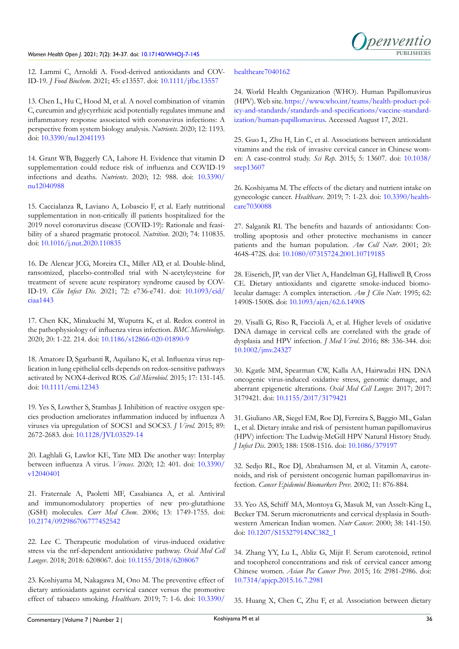#### Women Health Open J. 2021; 7(2): 34-37. doi: [10.17140/WHOJ-7-145](http://dx.doi.org/10.17140/WHOJ-7-145)



<span id="page-7-0"></span>12. Lammi C, Arnoldi A. Food-derived antioxidants and COV-ID-19. *J Food Biochem*. 2021; 45: e13557. doi: [10.1111/jfbc.13557](http://doi.org/10.1111/jfbc.13557)

<span id="page-7-1"></span>13. Chen L, Hu C, Hood M, et al. A novel combination of vitamin C, curcumin and glycyrrhizic acid potentially regulates immune and inflammatory response associated with coronavirus infections: A perspective from system biology analysis. *Nutrients.* 2020; 12: 1193. doi: [10.3390/nu12041193](http://doi.org/10.3390/nu12041193)

<span id="page-7-2"></span>14. Grant WB, Baggerly CA, Lahore H. Evidence that vitamin D supplementation could reduce risk of influenza and COVID-19 infections and deaths. *Nutrients*. 2020; 12: 988. doi: [10.3390/](http://doi.org/10.3390/nu12040988) [nu12040988](http://doi.org/10.3390/nu12040988)

<span id="page-7-3"></span>15. Caccialanza R, Laviano A, Lobascio F, et al. Early nutritional supplementation in non-critically ill patients hospitalized for the 2019 novel coronavirus disease (COVID-19): Rationale and feasibility of a shared pragmatic protocol. *Nutrition*. 2020; 74: 110835. doi: [10.1016/j.nut.2020.110835](http://doi.org/10.1016/j.nut.2020.110835)

<span id="page-7-4"></span>16. De Alencar JCG, Moreira CL, Miller AD, et al. Double-blind, ransomized, placebo-controlled trial with N-acetylcysteine for treatment of severe acute respiratory syndrome caused by COV-ID-19. *Clin Infect Dis*. 2021; 72: e736-e741. doi: [10.1093/cid/](http://doi.org/10.1093/cid/ciaa1443) [ciaa1443](http://doi.org/10.1093/cid/ciaa1443)

<span id="page-7-5"></span>17. Chen KK, Minakuchi M, Wuputra K, et al. Redox control in the pathophysiology of influenza virus infection. *BMC Microbiology*. 2020; 20: 1-22. 214. doi: [10.1186/s12866-020-01890-9](http://doi.org/10.1186/s12866-020-01890-9)

<span id="page-7-6"></span>18. Amatore D, Sgarbanti R, Aquilano K, et al. Influenza virus replication in lung epithelial cells depends on redox-sensitive pathways activated by NOX4-derived ROS. *Cell Microbiol*. 2015; 17: 131-145. doi: [10.1111/cmi.12343](http://doi.org/10.1111/cmi.12343)

19. Yes S, Lowther S, Stambas J. Inhibition of reactive oxygen species production ameliorates inflammation induced by influenza A viruses via upregulation of SOCS1 and SOCS3. *J Virol.* 2015; 89: 2672-2683. doi: [10.1128/JVI.03529-14](http://doi.org/10.1128/JVI.03529-14)

<span id="page-7-7"></span>20. Laghlali G, Lawlor KE, Tate MD. Die another way: Interplay between influenza A virus. *Viruses*. 2020; 12: 401. doi: [10.3390/](http://doi.org/10.3390/v12040401) [v12040401](http://doi.org/10.3390/v12040401)

<span id="page-7-8"></span>21. Fraternale A, Paoletti MF, Casabianca A, et al. Antiviral and immunomodulatory properties of new pro-glutathione (GSH) molecules. *Curr Med Chem*. 2006; 13: 1749-1755. doi: [10.2174/092986706777452542](http://doi.org/10.2174/092986706777452542)

<span id="page-7-9"></span>22. Lee C. Therapeutic modulation of virus-induced oxidative stress via the nrf-dependent antioxidative pathway. *Oxid Med Cell Longev*. 2018; 2018: 6208067. doi: [10.1155/2018/6208067](http://doi.org/10.1155/2018/6208067)

<span id="page-7-10"></span>23. Koshiyama M, Nakagawa M, Ono M. The preventive effect of dietary antioxidants against cervical cancer versus the promotive effect of tabacco smoking. *Healthcare*. 2019; 7: 1-6. doi: [10.3390/](http://doi.org/10.3390/healthcare7040162)

#### [healthcare7040162](http://doi.org/10.3390/healthcare7040162)

<span id="page-7-11"></span>24. World Health Organization (WHO). Human Papillomavirus (HPV). Web site. [https://www.who.int/teams/health-product-pol](https://www.who.int/teams/health-product-policy-and-standards/standards-and-specifications/vaccine-s)[icy-and-standards/standards-and-specifications/vaccine-standard](https://www.who.int/teams/health-product-policy-and-standards/standards-and-specifications/vaccine-s)[ization/human-papillomavirus](https://www.who.int/teams/health-product-policy-and-standards/standards-and-specifications/vaccine-s). Accessed August 17, 2021.

<span id="page-7-12"></span>25. Guo L, Zhu H, Lin C, et al. Associations between antioxidant vitamins and the risk of invasive cervical cancer in Chinese women: A case-control study. *Sci Rep*. 2015; 5: 13607. doi: [10.1038/](http://doi.org/10.1038/srep13607) [srep13607](http://doi.org/10.1038/srep13607)

<span id="page-7-19"></span>26. Koshiyama M. The effects of the dietary and nutrient intake on gynecologic cancer. *Healthcare*. 2019; 7: 1-23. doi: [10.3390/health](http://doi.org/10.3390/healthcare7030088)[care7030088](http://doi.org/10.3390/healthcare7030088)

<span id="page-7-13"></span>27. Salganik RI. The benefits and hazards of antioxidants: Controlling apoptosis and other protective mechanisms in cancer patients and the human population. *Am Coll Nutr*. 2001; 20: 464S-472S. doi: [10.1080/07315724.2001.10719185](http://doi.org/10.1080/07315724.2001.10719185)

<span id="page-7-14"></span>28. Eiserich, JP, van der Vliet A, Handelman GJ, Halliwell B, Cross CE. Dietary antioxidants and cigarette smoke-induced biomolecular damage: A complex interaction. *Am J Clin Nutr*. 1995; 62: 1490S-1500S. doi: [10.1093/ajcn/62.6.1490S](http://doi.org/10.1093/ajcn/62.6.1490S)

<span id="page-7-15"></span>29. Visalli G, Riso R, Facciolà A, et al. Higher levels of oxidative DNA damage in cervical cells are correlated with the grade of dysplasia and HPV infection. *J Med Virol*. 2016; 88: 336-344. doi: [10.1002/jmv.24327](http://doi.org/10.1002/jmv.24327)

<span id="page-7-16"></span>30. Kgatle MM, Spearman CW, Kalla AA, Hairwadzi HN. DNA oncogenic virus-induced oxidative stress, genomic damage, and aberrant epigenetic alterations. *Oxid Med Cell Longev.* 2017; 2017: 3179421. doi: [10.1155/2017/3179421](http://doi.org/10.1155/2017/3179421)

<span id="page-7-17"></span>31. Giuliano AR, Siegel EM, Roe DJ, Ferreira S, Baggio ML, Galan L, et al. Dietary intake and risk of persistent human papillomavirus (HPV) infection: The Ludwig-McGill HPV Natural History Study. *J Infect Dis*. 2003; 188: 1508-1516. doi: [10.1086/379197](http://doi.org/10.1086/379197)

32. Sedjo RL, Roe DJ, Abrahamsen M, et al. Vitamin A, carotenoids, and risk of persistent oncogenic human papillomavirus infection. *Cancer Epidemiol Biomarkers Prev*. 2002; 11: 876-884.

<span id="page-7-18"></span>33. Yeo AS, Schiff MA, Montoya G, Masuk M, van Asselt-King L, Becker TM. Serum micronutrients and cervical dysplasia in Southwestern American Indian women. *Nutr Cancer*. 2000; 38: 141-150. doi: [10.1207/S15327914NC382\\_1](http://doi.org/10.1207/S15327914NC382_1)

34. Zhang YY, Lu L, Abliz G, Mijit F. Serum carotenoid, retinol and tocopherol concentrations and risk of cervical cancer among Chinese women. *Asian Pac Cancer Prev*. 2015; 16: 2981-2986. doi: [10.7314/apjcp.2015.16.7.2981](http://doi.org/10.7314/apjcp.2015.16.7.2981)

35. Huang X, Chen C, Zhu F, et al. Association between dietary